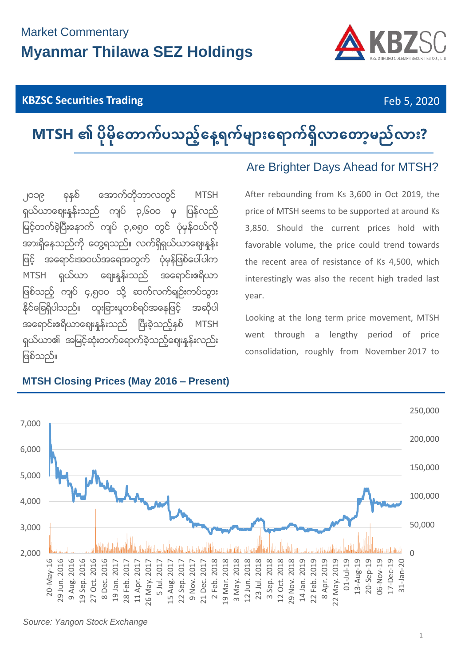## Market Commentary **Myanmar Thilawa SEZ Holdings**

#### **KBZSC Securities Trading** Feb 5, 2020



# MTSH ၏ ပိုမိုတောက်ပသည့်နေ့ရက်များရောက်ရှိလာတော့မည်လား?

၂၀၁၉ ခုနှစ် အောက်တိုဘာလတွင် MTSH ရှယ်ယာစျေးနန်းသည် ကျပ် ၃,၆၀၀ မှ ပြန်လည် မြင့်တက်ခဲ့ပြီးနောက် ကျပ် ၃,၈၅၀ တွင် ပုံမှန်ဝယ်လို အားရှိနေသည်ကို တွေ့ရသည်။ လက်ရှိရှယ်ယာစျေးနန်း ဖြင့် အရောင်းအဝယ်အရေအတွက် ပုံမှန်ဖြစ်ပေါ်ပါက MTSH ရှယ်ယာ ဈေးနန်းသည် အရောင်းဧရိယာ ဖြစ်သည့် ကျပ် ၄,၅၀၀ သို့ ဆက်လက်ချဉ်းကပ်သွား နိုင်ခြေရှိပါသည်။ ထူးခြားမှုတစ်ရပ်အနေဖြင့် အဆိုပါ အရောင်းဧရိယာဈေးနန်းသည် ပြီးခဲ့သည့်နှစ် MTSH ရှယ်ယာ၏ အမြင့်ဆုံးတက်ရောက်ခဲ့သည့်စျေးနုန်းလည်း ဖြစ်သည်။

#### **MTSH Closing Prices (May 2016 – Present)**

### Are Brighter Days Ahead for MTSH?

After rebounding from Ks 3,600 in Oct 2019, the price of MTSH seems to be supported at around Ks 3,850. Should the current prices hold with favorable volume, the price could trend towards the recent area of resistance of Ks 4,500, which interestingly was also the recent high traded last year.

Looking at the long term price movement, MTSH went through a lengthy period of price consolidation, roughly from November 2017 to



*Source: Yangon Stock Exchange*